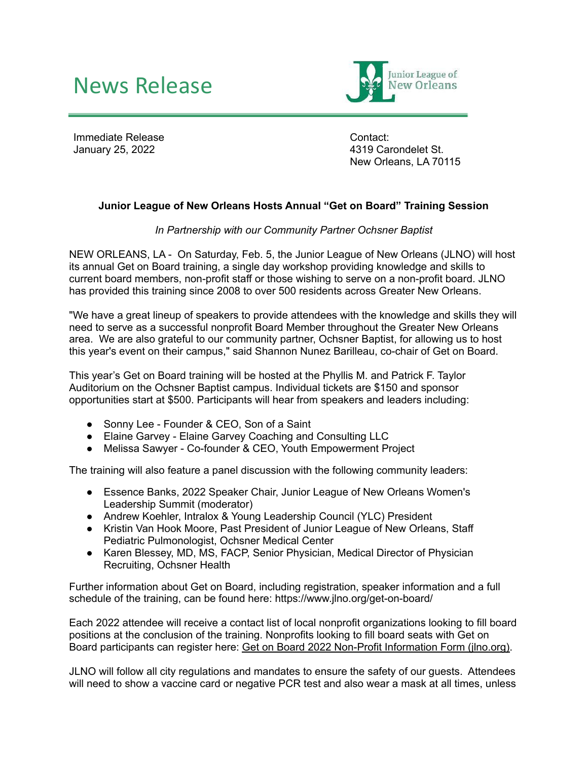## News Release



Immediate Release January 25, 2022

Contact: 4319 Carondelet St. New Orleans, LA 70115

## **Junior League of New Orleans Hosts Annual "Get on Board" Training Session**

*In Partnership with our Community Partner Ochsner Baptist*

NEW ORLEANS, LA - On Saturday, Feb. 5, the Junior League of New Orleans (JLNO) will host its annual Get on Board training, a single day workshop providing knowledge and skills to current board members, non-profit staff or those wishing to serve on a non-profit board. JLNO has provided this training since 2008 to over 500 residents across Greater New Orleans.

"We have a great lineup of speakers to provide attendees with the knowledge and skills they will need to serve as a successful nonprofit Board Member throughout the Greater New Orleans area. We are also grateful to our community partner, Ochsner Baptist, for allowing us to host this year's event on their campus," said Shannon Nunez Barilleau, co-chair of Get on Board.

This year's Get on Board training will be hosted at the Phyllis M. and Patrick F. Taylor Auditorium on the Ochsner Baptist campus. Individual tickets are \$150 and sponsor opportunities start at \$500. Participants will hear from speakers and leaders including:

- Sonny Lee Founder & CEO, Son of a Saint
- Elaine Garvey Elaine Garvey Coaching and Consulting LLC
- Melissa Sawyer Co-founder & CEO, Youth Empowerment Project

The training will also feature a panel discussion with the following community leaders:

- Essence Banks, 2022 Speaker Chair, Junior League of New Orleans Women's Leadership Summit (moderator)
- Andrew Koehler, Intralox & Young Leadership Council (YLC) President
- Kristin Van Hook Moore, Past President of Junior League of New Orleans, Staff Pediatric Pulmonologist, Ochsner Medical Center
- Karen Blessey, MD, MS, FACP, Senior Physician, Medical Director of Physician Recruiting, Ochsner Health

Further information about Get on Board, including registration, speaker information and a full schedule of the training, can be found here: https://www.jlno.org/get-on-board/

Each 2022 attendee will receive a contact list of local nonprofit organizations looking to fill board positions at the conclusion of the training. Nonprofits looking to fill board seats with Get on Board participants can register here: Get on Board 2022 Non-Profit [Information](https://members.jlno.org/?nd=vms_public_form&form_id=261) Form (jlno.org).

JLNO will follow all city regulations and mandates to ensure the safety of our guests. Attendees will need to show a vaccine card or negative PCR test and also wear a mask at all times, unless